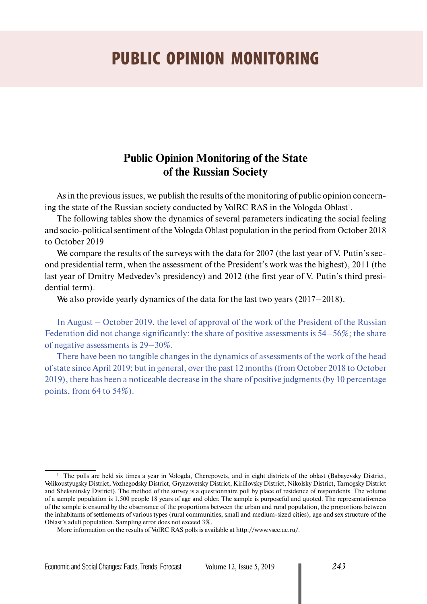## PUBLIC OPINION MONITORING

## **Public Opinion Monitoring of the State of the Russian Society**

As in the previous issues, we publish the results of the monitoring of public opinion concerning the state of the Russian society conducted by VolRC RAS in the Vologda Oblast<sup>1</sup>.

The following tables show the dynamics of several parameters indicating the social feeling and socio-political sentiment of the Vologda Oblast population in the period from October 2018 to October 2019

We compare the results of the surveys with the data for 2007 (the last year of V. Putin's second presidential term, when the assessment of the President's work was the highest), 2011 (the last year of Dmitry Medvedev's presidency) and 2012 (the first year of V. Putin's third presidential term).

We also provide yearly dynamics of the data for the last two years (2017–2018).

In August – October 2019, the level of approval of the work of the President of the Russian Federation did not change significantly: the share of positive assessments is 54–56%; the share of negative assessments is 29–30%.

There have been no tangible changes in the dynamics of assessments of the work of the head of state since April 2019; but in general, over the past 12 months (from October 2018 to October 2019), there has been a noticeable decrease in the share of positive judgments (by 10 percentage points, from 64 to 54%).

<sup>&</sup>lt;sup>1</sup> The polls are held six times a year in Vologda, Cherepovets, and in eight districts of the oblast (Babayevsky District, Velikoustyugsky District, Vozhegodsky District, Gryazovetsky District, Kirillovsky District, Nikolsky District, Tarnogsky District and Sheksninsky District). The method of the survey is a questionnaire poll by place of residence of respondents. The volume of a sample population is 1,500 people 18 years of age and older. The sample is purposeful and quoted. The representativeness of the sample is ensured by the observance of the proportions between the urban and rural population, the proportions between the inhabitants of settlements of various types (rural communities, small and medium-sized cities), age and sex structure of the Oblast's adult population. Sampling error does not exceed 3%.

More information on the results of VolRC RAS polls is available at http://www.vscc.ac.ru/.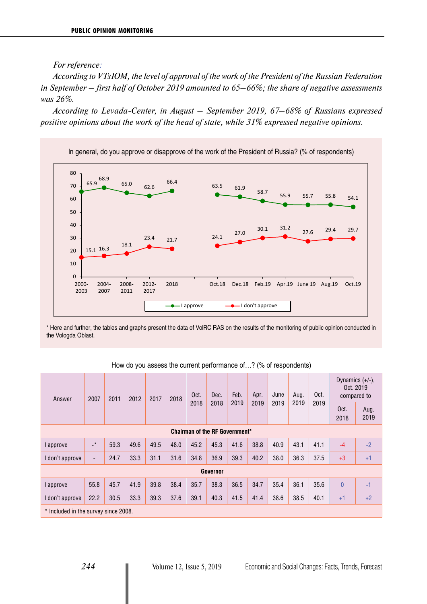*For reference:* 

*According to VTsIOM, the level of approval of the work of the President of the Russian Federation in September – first half of October 2019 amounted to 65–66%; the share of negative assessments was 26%.* 

*According to Levada-Center, in August – September 2019, 67–68% of Russians expressed positive opinions about the work of the head of state, while 31% expressed negative opinions.*



\* Here and further, the tables and graphs present the data of VolRC RAS on the results of the monitoring of public opinion conducted in the Vologda Oblast.

| Answer                         | 2007                                 | 2011 | 2012 | 2017 | 2018 | Oct.<br>2018 | Dec.<br>2018 | Feb.<br>2019 | Apr.<br>2019 | June<br>2019 | Aug.<br>2019 | Oct.<br>2019 | Dynamics $(+/-)$ ,<br>Oct. 2019<br>compared to |              |
|--------------------------------|--------------------------------------|------|------|------|------|--------------|--------------|--------------|--------------|--------------|--------------|--------------|------------------------------------------------|--------------|
|                                |                                      |      |      |      |      |              |              |              |              |              |              |              | Oct.<br>2018                                   | Aug.<br>2019 |
| Chairman of the RF Government* |                                      |      |      |      |      |              |              |              |              |              |              |              |                                                |              |
| approve                        | $\rightarrow$                        | 59.3 | 49.6 | 49.5 | 48.0 | 45.2         | 45.3         | 41.6         | 38.8         | 40.9         | 43.1         | 41.1         | $-4$                                           | $-2$         |
| don't approve                  | $\overline{\phantom{a}}$             | 24.7 | 33.3 | 31.1 | 31.6 | 34.8         | 36.9         | 39.3         | 40.2         | 38.0         | 36.3         | 37.5         | $+3$                                           | $+1$         |
|                                | <b>Governor</b>                      |      |      |      |      |              |              |              |              |              |              |              |                                                |              |
| approve                        | 55.8                                 | 45.7 | 41.9 | 39.8 | 38.4 | 35.7         | 38.3         | 36.5         | 34.7         | 35.4         | 36.1         | 35.6         | $\overline{0}$                                 | $-1$         |
| I don't approve                | 22.2                                 | 30.5 | 33.3 | 39.3 | 37.6 | 39.1         | 40.3         | 41.5         | 41.4         | 38.6         | 38.5         | 40.1         | $+1$                                           | $+2$         |
|                                | * Included in the survey since 2008. |      |      |      |      |              |              |              |              |              |              |              |                                                |              |

| How do you assess the current performance of? (% of respondents) |  |  |
|------------------------------------------------------------------|--|--|
|------------------------------------------------------------------|--|--|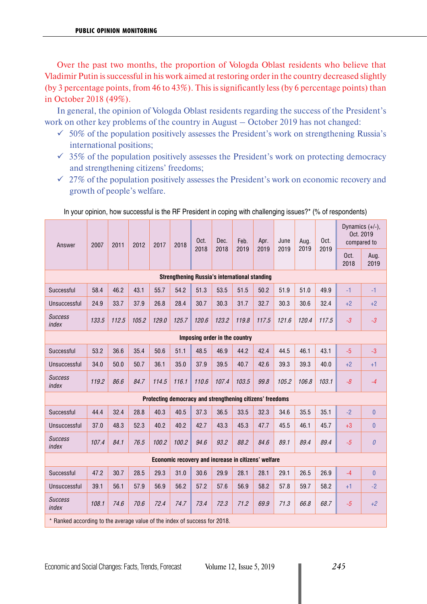Over the past two months, the proportion of Vologda Oblast residents who believe that Vladimir Putin is successful in his work aimed at restoring order in the country decreased slightly (by 3 percentage points, from 46 to 43%). This is significantly less (by 6 percentage points) than in October 2018 (49%).

In general, the opinion of Vologda Oblast residents regarding the success of the President's work on other key problems of the country in August – October 2019 has not changed:

- $\leq 50\%$  of the population positively assesses the President's work on strengthening Russia's international positions;
- $\checkmark$  35% of the population positively assesses the President's work on protecting democracy and strengthening citizens' freedoms;
- $\checkmark$  27% of the population positively assesses the President's work on economic recovery and growth of people's welfare.

| Answer                                                                    | 2007  | 2011  | 2012  | 2017  | 2018                                                      | Oct.<br>2018 | Dec.<br>2018 | Feb.<br>2019 | Apr.<br>2019 | June<br>2019 | Aug.<br>2019 | Oct.<br>2019 | Dynamics (+/-),<br>Oct. 2019<br>compared to |                |
|---------------------------------------------------------------------------|-------|-------|-------|-------|-----------------------------------------------------------|--------------|--------------|--------------|--------------|--------------|--------------|--------------|---------------------------------------------|----------------|
|                                                                           |       |       |       |       |                                                           |              |              |              |              |              |              |              | Oct.<br>2018                                | Aug.<br>2019   |
| <b>Strengthening Russia's international standing</b>                      |       |       |       |       |                                                           |              |              |              |              |              |              |              |                                             |                |
| Successful                                                                | 58.4  | 46.2  | 43.1  | 55.7  | 54.2                                                      | 51.3         | 53.5         | 51.5         | 50.2         | 51.9         | 51.0         | 49.9         | $-1$                                        | $-1$           |
| Unsuccessful                                                              | 24.9  | 33.7  | 37.9  | 26.8  | 28.4                                                      | 30.7         | 30.3         | 31.7         | 32.7         | 30.3         | 30.6         | 32.4         | $+2$                                        | $+2$           |
| <b>Success</b><br>index                                                   | 133.5 | 112.5 | 105.2 | 129.0 | 125.7                                                     | 120.6        | 123.2        | 119.8        | 117.5        | 121.6        | 120.4        | 117.5        | $-3$                                        | $-3$           |
| Imposing order in the country                                             |       |       |       |       |                                                           |              |              |              |              |              |              |              |                                             |                |
| Successful                                                                | 53.2  | 36.6  | 35.4  | 50.6  | 51.1                                                      | 48.5         | 46.9         | 44.2         | 42.4         | 44.5         | 46.1         | 43.1         | $-5$                                        | $-3$           |
| Unsuccessful                                                              | 34.0  | 50.0  | 50.7  | 36.1  | 35.0                                                      | 37.9         | 39.5         | 40.7         | 42.6         | 39.3         | 39.3         | 40.0         | $+2$                                        | $+1$           |
| <b>Success</b><br>index                                                   | 119.2 | 86.6  | 84.7  | 114.5 | 116.1                                                     | 110.6        | 107.4        | 103.5        | 99.8         | 105.2        | 106.8        | 103.1        | $-8$                                        | $-4$           |
|                                                                           |       |       |       |       | Protecting democracy and strengthening citizens' freedoms |              |              |              |              |              |              |              |                                             |                |
| Successful                                                                | 44.4  | 32.4  | 28.8  | 40.3  | 40.5                                                      | 37.3         | 36.5         | 33.5         | 32.3         | 34.6         | 35.5         | 35.1         | $-2$                                        | $\overline{0}$ |
| Unsuccessful                                                              | 37.0  | 48.3  | 52.3  | 40.2  | 40.2                                                      | 42.7         | 43.3         | 45.3         | 47.7         | 45.5         | 46.1         | 45.7         | $+3$                                        | $\overline{0}$ |
| <b>Success</b><br>index                                                   | 107.4 | 84.1  | 76.5  | 100.2 | 100.2                                                     | 94.6         | 93.2         | 88.2         | 84.6         | 89.1         | 89.4         | 89.4         | $-5$                                        | $\theta$       |
|                                                                           |       |       |       |       | Economic recovery and increase in citizens' welfare       |              |              |              |              |              |              |              |                                             |                |
| Successful                                                                | 47.2  | 30.7  | 28.5  | 29.3  | 31.0                                                      | 30.6         | 29.9         | 28.1         | 28.1         | 29.1         | 26.5         | 26.9         | $-4$                                        | 0              |
| Unsuccessful                                                              | 39.1  | 56.1  | 57.9  | 56.9  | 56.2                                                      | 57.2         | 57.6         | 56.9         | 58.2         | 57.8         | 59.7         | 58.2         | $+1$                                        | $-2$           |
| <b>Success</b><br>index                                                   | 108.1 | 74.6  | 70.6  | 72.4  | 74.7                                                      | 73.4         | 72.3         | 71.2         | 69.9         | 71.3         | 66.8         | 68.7         | $-5$                                        | $+2$           |
| * Ranked according to the average value of the index of success for 2018. |       |       |       |       |                                                           |              |              |              |              |              |              |              |                                             |                |

In your opinion, how successful is the RF President in coping with challenging issues?\* (% of respondents)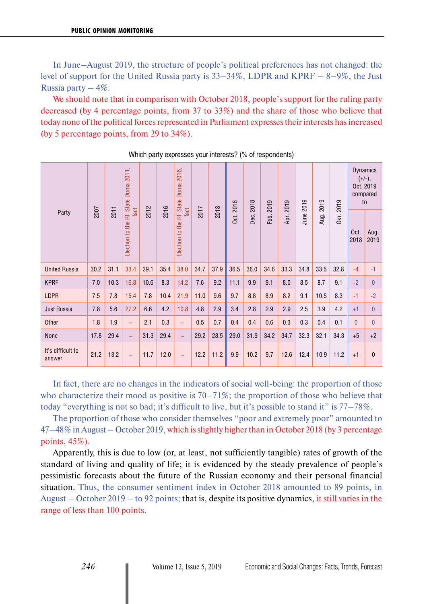In June–August 2019, the structure of people's political preferences has not changed: the level of support for the United Russia party is 33–34%, LDPR and KPRF – 8–9%, the Just Russia party  $-4\%$ .

We should note that in comparison with October 2018, people's support for the ruling party decreased (by 4 percentage points, from 37 to 33%) and the share of those who believe that today none of the political forces represented in Parliament expresses their interests has increased (by 5 percentage points, from 29 to 34%).

|                             |      |      | 2011,<br>Duma<br>State I   |      |      |                                             |      |      | 2018        | 2018 | 2019 | 2019 |           | 2019 | 2019 | to           | <b>Dynamics</b><br>$(+/-),$<br>Oct. 2019<br>compared |
|-----------------------------|------|------|----------------------------|------|------|---------------------------------------------|------|------|-------------|------|------|------|-----------|------|------|--------------|------------------------------------------------------|
| Party                       | 2007 | 2011 | fact<br>Election to the RF | 2012 | 2016 | Election to the RF State Duma 2016,<br>fact | 2017 | 2018 | <b>Dct.</b> | Dec. | Feb. | Apr. | June 2019 | Aug. | 0кт. | Oct.<br>2018 | Aug.<br>2019                                         |
| <b>United Russia</b>        | 30.2 | 31.1 | 33.4                       | 29.1 | 35.4 | 38.0                                        | 34.7 | 37.9 | 36.5        | 36.0 | 34.6 | 33.3 | 34.8      | 33.5 | 32.8 | $-4$         | $-1$                                                 |
| <b>KPRF</b>                 | 7.0  | 10.3 | 16.8                       | 10.6 | 8.3  | 14.2                                        | 7.6  | 9.2  | 11.1        | 9.9  | 9.1  | 8.0  | 8.5       | 8.7  | 9.1  | $-2$         | $\mathbf{0}$                                         |
| LDPR                        | 7.5  | 7.8  | 15.4                       | 7.8  | 10.4 | 21.9                                        | 11.0 | 9.6  | 9.7         | 8.8  | 8.9  | 8.2  | 9.1       | 10.5 | 8.3  | $-1$         | $-2$                                                 |
| Just Russia                 | 7.8  | 5.6  | 27.2                       | 6.6  | 4.2  | 10.8                                        | 4.8  | 2.9  | 3.4         | 2.8  | 2.9  | 2.9  | 2.5       | 3.9  | 4.2  | $+1$         | $\mathbf{0}$                                         |
| Other                       | 1.8  | 1.9  | $\equiv$                   | 2.1  | 0.3  | $\equiv$                                    | 0.5  | 0.7  | 0.4         | 0.4  | 0.6  | 0.3  | 0.3       | 0.4  | 0.1  | $\Omega$     | $\Omega$                                             |
| None                        | 17.8 | 29.4 | $\equiv$                   | 31.3 | 29.4 | ÷,                                          | 29.2 | 28.5 | 29.0        | 31.9 | 34.2 | 34.7 | 32.3      | 32.1 | 34.3 | $+5$         | $+2$                                                 |
| It's difficult to<br>answer | 21.2 | 13.2 | $\qquad \qquad -$          | 11.7 | 12.0 | $\equiv$                                    | 12.2 | 11.2 | 9.9         | 10.2 | 9.7  | 12.6 | 12.4      | 10.9 | 11.2 | $+1$         | $\mathbf{0}$                                         |

Which party expresses your interests? (% of respondents)

In fact, there are no changes in the indicators of social well-being: the proportion of those who characterize their mood as positive is 70–71%; the proportion of those who believe that today "everything is not so bad; it's difficult to live, but it's possible to stand it" is 77–78%.

The proportion of those who consider themselves "poor and extremely poor" amounted to 47–48% in August – October 2019, which is slightly higher than in October 2018 (by 3 percentage points, 45%).

Apparently, this is due to low (or, at least, not sufficiently tangible) rates of growth of the standard of living and quality of life; it is evidenced by the steady prevalence of people's pessimistic forecasts about the future of the Russian economy and their personal financial situation. Thus, the consumer sentiment index in October 2018 amounted to 89 points, in August – October 2019 – to 92 points; that is, despite its positive dynamics, it still varies in the range of less than 100 points.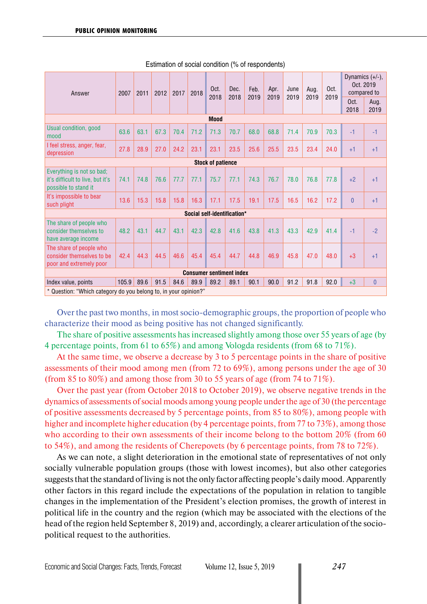| Answer                                                                                | 2007  | 2011 | 2012 | 2017 | 2018 | Oct.<br>2018 | Dec.<br>2018                    | Feb.<br>2019 | Apr.<br>2019 | June<br>2019 | Aug.<br>2019 | Oct. | Dynamics (+/-),<br>Oct. 2019<br>compared to |              |
|---------------------------------------------------------------------------------------|-------|------|------|------|------|--------------|---------------------------------|--------------|--------------|--------------|--------------|------|---------------------------------------------|--------------|
|                                                                                       |       |      |      |      |      |              |                                 |              |              |              |              | 2019 | Oct.<br>2018                                | Aug.<br>2019 |
| <b>Mood</b>                                                                           |       |      |      |      |      |              |                                 |              |              |              |              |      |                                             |              |
| Usual condition, good<br>mood                                                         | 63.6  | 63.1 | 67.3 | 70.4 | 71.2 | 71.3         | 70.7                            | 68.0         | 68.8         | 71.4         | 70.9         | 70.3 | $-1$                                        | $-1$         |
| I feel stress, anger, fear,<br>depression                                             | 27.8  | 28.9 | 27.0 | 24.2 | 23.1 | 23.1         | 23.5                            | 25.6         | 25.5         | 23.5         | 23.4         | 24.0 | $+1$                                        | $+1$         |
| <b>Stock of patience</b>                                                              |       |      |      |      |      |              |                                 |              |              |              |              |      |                                             |              |
| Everything is not so bad;<br>it's difficult to live, but it's<br>possible to stand it | 74.1  | 74.8 | 76.6 | 77.7 | 77.1 | 75.7         | 77.1                            | 74.3         | 76.7         | 78.0         | 76.8         | 77.8 | $+2$                                        | $+1$         |
| It's impossible to bear<br>such plight                                                | 13.6  | 15.3 | 15.8 | 15.8 | 16.3 | 17.1         | 17.5                            | 19.1         | 17.5         | 16.5         | 16.2         | 17.2 | $\Omega$                                    | $+1$         |
|                                                                                       |       |      |      |      |      |              | Social self-identification*     |              |              |              |              |      |                                             |              |
| The share of people who<br>consider themselves to<br>have average income              | 48.2  | 43.1 | 44.7 | 43.1 | 42.3 | 42.8         | 41.6                            | 43.8         | 41.3         | 43.3         | 42.9         | 41.4 | $-1$                                        | $-2$         |
| The share of people who<br>consider themselves to be<br>poor and extremely poor       | 42.4  | 44.3 | 44.5 | 46.6 | 45.4 | 45.4         | 44.7                            | 44.8         | 46.9         | 45.8         | 47.0         | 48.0 | $+3$                                        | $+1$         |
|                                                                                       |       |      |      |      |      |              | <b>Consumer sentiment index</b> |              |              |              |              |      |                                             |              |
| Index value, points                                                                   | 105.9 | 89.6 | 91.5 | 84.6 | 89.9 | 89.2         | 89.1                            | 90.1         | 90.0         | 91.2         | 91.8         | 92.0 | $+3$                                        | $\mathbf{0}$ |
| * Question: "Which category do you belong to, in your opinion?"                       |       |      |      |      |      |              |                                 |              |              |              |              |      |                                             |              |

Estimation of social condition (% of respondents)

Over the past two months, in most socio-demographic groups, the proportion of people who characterize their mood as being positive has not changed significantly.

The share of positive assessments has increased slightly among those over 55 years of age (by 4 percentage points, from 61 to 65%) and among Vologda residents (from 68 to 71%).

At the same time, we observe a decrease by 3 to 5 percentage points in the share of positive assessments of their mood among men (from 72 to 69%), among persons under the age of 30 (from 85 to 80%) and among those from 30 to 55 years of age (from 74 to 71%).

Over the past year (from October 2018 to October 2019), we observe negative trends in the dynamics of assessments of social moods among young people under the age of 30 (the percentage of positive assessments decreased by 5 percentage points, from 85 to 80%), among people with higher and incomplete higher education (by 4 percentage points, from 77 to 73%), among those who according to their own assessments of their income belong to the bottom 20% (from 60 to 54%), and among the residents of Cherepovets (by 6 percentage points, from 78 to 72%).

As we can note, a slight deterioration in the emotional state of representatives of not only socially vulnerable population groups (those with lowest incomes), but also other categories suggests that the standard of living is not the only factor affecting people's daily mood. Apparently other factors in this regard include the expectations of the population in relation to tangible changes in the implementation of the President's election promises, the growth of interest in political life in the country and the region (which may be associated with the elections of the head of the region held September 8, 2019) and, accordingly, a clearer articulation of the sociopolitical request to the authorities.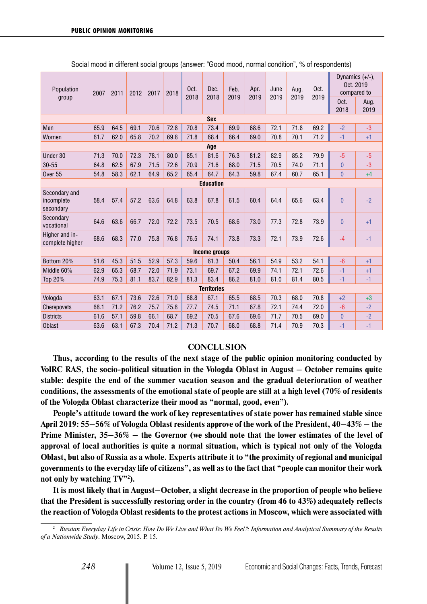| Population                               | 2007 | 2011 | 2012 | 2017 | 2018 | Oct.<br>2018 | Dec.<br>2018         | Feb.<br>2019 | Apr.<br>2019 | June<br>2019 | Aug.<br>2019 | Oct.<br>2019 | Dynamics (+/-),<br>Oct. 2019<br>compared to |              |
|------------------------------------------|------|------|------|------|------|--------------|----------------------|--------------|--------------|--------------|--------------|--------------|---------------------------------------------|--------------|
| group                                    |      |      |      |      |      |              |                      |              |              |              |              |              | Oct.<br>2018                                | Aug.<br>2019 |
|                                          |      |      |      |      |      |              | <b>Sex</b>           |              |              |              |              |              |                                             |              |
| Men                                      | 65.9 | 64.5 | 69.1 | 70.6 | 72.8 | 70.8         | 73.4                 | 69.9         | 68.6         | 72.1         | 71.8         | 69.2         | $-2$                                        | $-3$         |
| Women                                    | 61.7 | 62.0 | 65.8 | 70.2 | 69.8 | 71.8         | 68.4                 | 66.4         | 69.0         | 70.8         | 70.1         | 71.2         | $-1$                                        | $+1$         |
| Age                                      |      |      |      |      |      |              |                      |              |              |              |              |              |                                             |              |
| Under 30                                 | 71.3 | 70.0 | 72.3 | 78.1 | 80.0 | 85.1         | 81.6                 | 76.3         | 81.2         | 82.9         | 85.2         | 79.9         | $-5$                                        | $-5$         |
| $30 - 55$                                | 64.8 | 62.5 | 67.9 | 71.5 | 72.6 | 70.9         | 71.6                 | 68.0         | 71.5         | 70.5         | 74.0         | 71.1         | $\overline{0}$                              | $-3$         |
| Over 55                                  | 54.8 | 58.3 | 62.1 | 64.9 | 65.2 | 65.4         | 64.7                 | 64.3         | 59.8         | 67.4         | 60.7         | 65.1         | $\bf{0}$                                    | $+4$         |
| <b>Education</b>                         |      |      |      |      |      |              |                      |              |              |              |              |              |                                             |              |
| Secondary and<br>incomplete<br>secondary | 58.4 | 57.4 | 57.2 | 63.6 | 64.8 | 63.8         | 67.8                 | 61.5         | 60.4         | 64.4         | 65.6         | 63.4         | $\overline{0}$                              | $-2$         |
| Secondary<br>vocational                  | 64.6 | 63.6 | 66.7 | 72.0 | 72.2 | 73.5         | 70.5                 | 68.6         | 73.0         | 77.3         | 72.8         | 73.9         | 0                                           | $+1$         |
| Higher and in-<br>complete higher        | 68.6 | 68.3 | 77.0 | 75.8 | 76.8 | 76.5         | 74.1                 | 73.8         | 73.3         | 72.1         | 73.9         | 72.6         | $-4$                                        | $-1$         |
|                                          |      |      |      |      |      |              | <b>Income groups</b> |              |              |              |              |              |                                             |              |
| Bottom 20%                               | 51.6 | 45.3 | 51.5 | 52.9 | 57.3 | 59.6         | 61.3                 | 50.4         | 56.1         | 54.9         | 53.2         | 54.1         | $-6$                                        | $+1$         |
| Middle 60%                               | 62.9 | 65.3 | 68.7 | 72.0 | 71.9 | 73.1         | 69.7                 | 67.2         | 69.9         | 74.1         | 72.1         | 72.6         | $-1$                                        | $+1$         |
| Top 20%                                  | 74.9 | 75.3 | 81.1 | 83.7 | 82.9 | 81.3         | 83.4                 | 86.2         | 81.0         | 81.0         | 81.4         | 80.5         | $-1$                                        | $-1$         |
|                                          |      |      |      |      |      |              | <b>Territories</b>   |              |              |              |              |              |                                             |              |
| Vologda                                  | 63.1 | 67.1 | 73.6 | 72.6 | 71.0 | 68.8         | 67.1                 | 65.5         | 68.5         | 70.3         | 68.0         | 70.8         | $+2$                                        | $+3$         |
| Cherepovets                              | 68.1 | 71.2 | 76.2 | 75.7 | 75.8 | 77.7         | 74.5                 | 71.1         | 67.8         | 72.1         | 74.4         | 72.0         | $-6$                                        | $-2$         |
| <b>Districts</b>                         | 61.6 | 57.1 | 59.8 | 66.1 | 68.7 | 69.2         | 70.5                 | 67.6         | 69.6         | 71.7         | 70.5         | 69.0         | 0                                           | $-2$         |
| <b>Oblast</b>                            | 63.6 | 63.1 | 67.3 | 70.4 | 71.2 | 71.3         | 70.7                 | 68.0         | 68.8         | 71.4         | 70.9         | 70.3         | $-1$                                        | $-1$         |

Social mood in different social groups (answer: "Good mood, normal condition", % of respondents)

## **CONCLUSION**

**Thus, according to the results of the next stage of the public opinion monitoring conducted by VolRC RAS, the socio-political situation in the Vologda Oblast in August – October remains quite stable: despite the end of the summer vacation season and the gradual deterioration of weather conditions, the assessments of the emotional state of people are still at a high level (70% of residents of the Vologda Oblast characterize their mood as "normal, good, even").**

**People's attitude toward the work of key representatives of state power has remained stable since April 2019: 55–56% of Vologda Oblast residents approve of the work of the President, 40–43% – the Prime Minister, 35–36% – the Governor (we should note that the lower estimates of the level of approval of local authorities is quite a normal situation, which is typical not only of the Vologda Oblast, but also of Russia as a whole. Experts attribute it to "the proximity of regional and municipal governments to the everyday life of citizens", as well as to the fact that "people can monitor their work not only by watching TV"2 ).** 

**It is most likely that in August–October, a slight decrease in the proportion of people who believe that the President is successfully restoring order in the country (from 46 to 43%) adequately reflects the reaction of Vologda Oblast residents to the protest actions in Moscow, which were associated with** 

<sup>2</sup> *Russian Everyday Life in Crisis: How Do We Live and What Do We Feel?: Information and Analytical Summary of the Results of a Nationwide Study*. Moscow, 2015. P. 15.